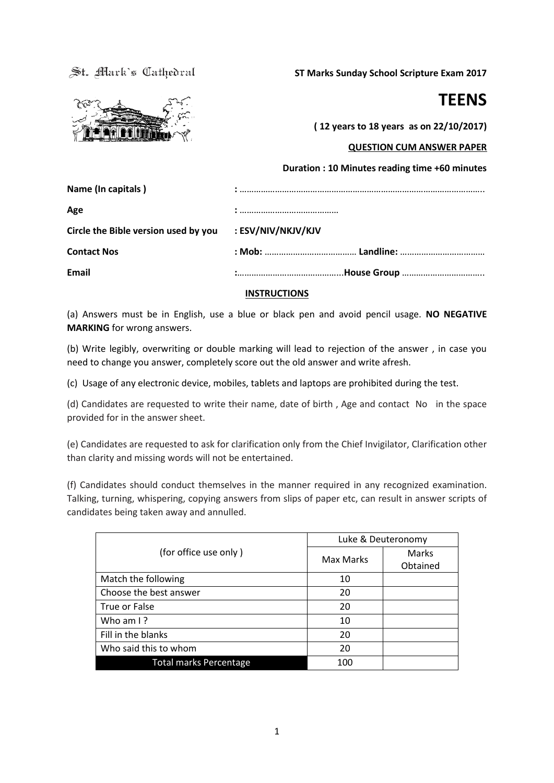St. Mark's Cathedral

**ST Marks Sunday School Scripture Exam 2017**



**TEENS**

**( 12 years to 18 years as on 22/10/2017)**

## **QUESTION CUM ANSWER PAPER**

| Circle the Bible version used by you : ESV/NIV/NKJV/KJV |
|---------------------------------------------------------|
|                                                         |
|                                                         |
|                                                         |

### **INSTRUCTIONS**

(a) Answers must be in English, use a blue or black pen and avoid pencil usage. **NO NEGATIVE MARKING** for wrong answers.

(b) Write legibly, overwriting or double marking will lead to rejection of the answer , in case you need to change you answer, completely score out the old answer and write afresh.

(c) Usage of any electronic device, mobiles, tablets and laptops are prohibited during the test.

(d) Candidates are requested to write their name, date of birth , Age and contact No in the space provided for in the answer sheet.

(e) Candidates are requested to ask for clarification only from the Chief Invigilator, Clarification other than clarity and missing words will not be entertained.

(f) Candidates should conduct themselves in the manner required in any recognized examination. Talking, turning, whispering, copying answers from slips of paper etc, can result in answer scripts of candidates being taken away and annulled.

|                               | Luke & Deuteronomy |          |
|-------------------------------|--------------------|----------|
| (for office use only)         | Max Marks          | Marks    |
|                               |                    | Obtained |
| Match the following           | 10                 |          |
| Choose the best answer        | 20                 |          |
| True or False                 | 20                 |          |
| Who am $\frac{1}{2}$          | 10                 |          |
| Fill in the blanks            | 20                 |          |
| Who said this to whom         | 20                 |          |
| <b>Total marks Percentage</b> | 100                |          |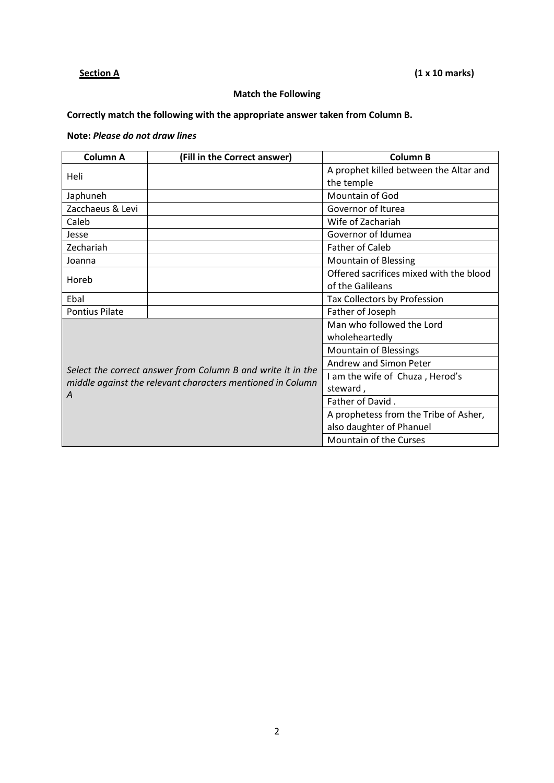# **Section A** (1 x 10 marks)

# **Match the Following**

# **Correctly match the following with the appropriate answer taken from Column B.**

# **Note:** *Please do not draw lines*

| <b>Column A</b>       | (Fill in the Correct answer)                                | <b>Column B</b>                         |
|-----------------------|-------------------------------------------------------------|-----------------------------------------|
| Heli                  |                                                             | A prophet killed between the Altar and  |
|                       |                                                             | the temple                              |
| Japhuneh              |                                                             | Mountain of God                         |
| Zacchaeus & Levi      |                                                             | Governor of Iturea                      |
| Caleb                 |                                                             | Wife of Zachariah                       |
| Jesse                 |                                                             | Governor of Idumea                      |
| Zechariah             |                                                             | <b>Father of Caleb</b>                  |
| Joanna                |                                                             | <b>Mountain of Blessing</b>             |
| Horeb                 |                                                             | Offered sacrifices mixed with the blood |
|                       |                                                             | of the Galileans                        |
| Ebal                  |                                                             | Tax Collectors by Profession            |
| <b>Pontius Pilate</b> |                                                             | Father of Joseph                        |
|                       |                                                             | Man who followed the Lord               |
|                       |                                                             | wholeheartedly                          |
|                       |                                                             | <b>Mountain of Blessings</b>            |
|                       |                                                             | Andrew and Simon Peter                  |
|                       | Select the correct answer from Column B and write it in the | I am the wife of Chuza, Herod's         |
| A                     | middle against the relevant characters mentioned in Column  | steward,                                |
|                       |                                                             | Father of David.                        |
|                       |                                                             | A prophetess from the Tribe of Asher,   |
|                       |                                                             | also daughter of Phanuel                |
|                       |                                                             | Mountain of the Curses                  |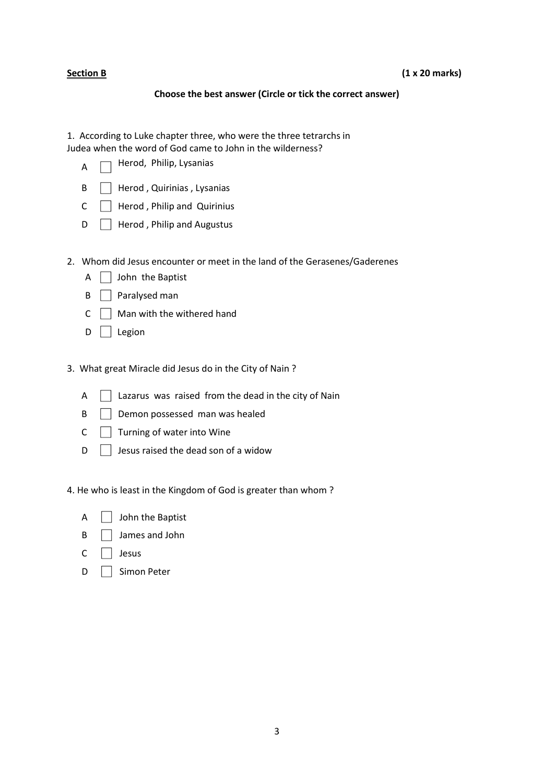### **Choose the best answer (Circle or tick the correct answer)**

1. According to Luke chapter three, who were the three tetrarchs in Judea when the word of God came to John in the wilderness?

- Herod, Philip, Lysanias A ٦
- $\mathsf{B} \quad \Box$  Herod, Quirinias, Lysanias
- $C \quad \Box$  Herod, Philip and Quirinius
- $\Box$  Herod, Philip and Augustus
- 2. Whom did Jesus encounter or meet in the land of the Gerasenes/Gaderenes
	- $A \Box$  John the Baptist
	- $\mathsf{B} \quad \Box$  Paralysed man
	- $C \cap M$ an with the withered hand
	- $D \Box$  Legion

3. What great Miracle did Jesus do in the City of Nain ?

- $A \cap$  Lazarus was raised from the dead in the city of Nain
- B **Demon possessed man was healed**
- $C \cap$  Turning of water into Wine
- $\Box$  Jesus raised the dead son of a widow

4. He who is least in the Kingdom of God is greater than whom ?

|  | $\mathsf{A}$ $\Box$ John the Baptist |
|--|--------------------------------------|
|  |                                      |

- $\mathsf{B} \quad \Box$  James and John
- $C \cap$  Jesus
- D | Simon Peter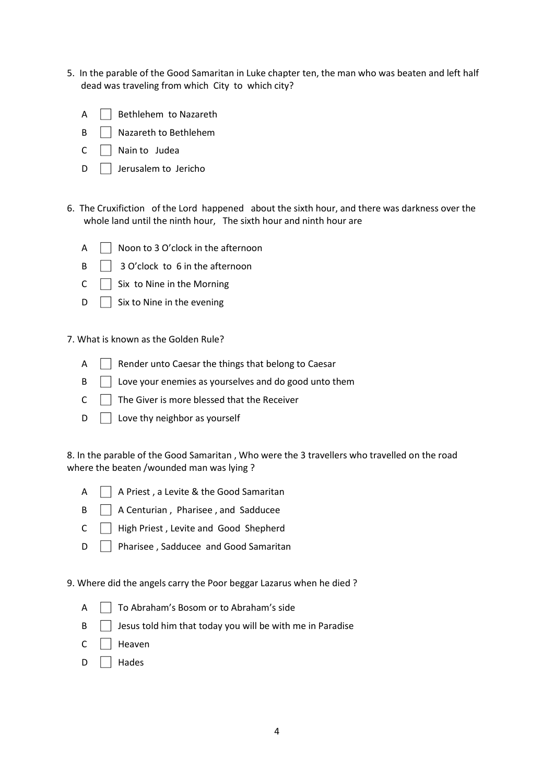- 5. In the parable of the Good Samaritan in Luke chapter ten, the man who was beaten and left half dead was traveling from which City to which city?
	- $A \parallel$  Bethlehem to Nazareth
	- B | Nazareth to Bethlehem
	- $C \cap$  Nain to Judea
	- $\Box$  Jerusalem to Jericho
- 6. The Cruxifiction of the Lord happened about the sixth hour, and there was darkness over the whole land until the ninth hour, The sixth hour and ninth hour are
	- $\mathsf{A} \quad \Box$  Noon to 3 O'clock in the afternoon
	- $\mathsf{B} \quad \Box \quad 3$  O'clock to 6 in the afternoon
	- $C \cap S$ ix to Nine in the Morning
	- $\Box$  Six to Nine in the evening

7. What is known as the Golden Rule?

- $A \cap B$  Render unto Caesar the things that belong to Caesar
- $\mathsf{B} \quad \Box$  Love your enemies as yourselves and do good unto them
- $C \cap T$  The Giver is more blessed that the Receiver
- $D \cap$  Love thy neighbor as yourself

8. In the parable of the Good Samaritan , Who were the 3 travellers who travelled on the road where the beaten /wounded man was lying ?

- $\overline{A}$   $\overline{A}$  A Priest, a Levite & the Good Samaritan
- $\mathsf{B}$  | A Centurian, Pharisee, and Sadducee
- $C \cap$  High Priest, Levite and Good Shepherd
- D **Pharisee**, Sadducee and Good Samaritan

9. Where did the angels carry the Poor beggar Lazarus when he died ?

- $\overline{A}$   $\overline{A}$  To Abraham's Bosom or to Abraham's side
- $\mathsf{B}$  Jesus told him that today you will be with me in Paradise
- $C \Box$  Heaven
- D | Hades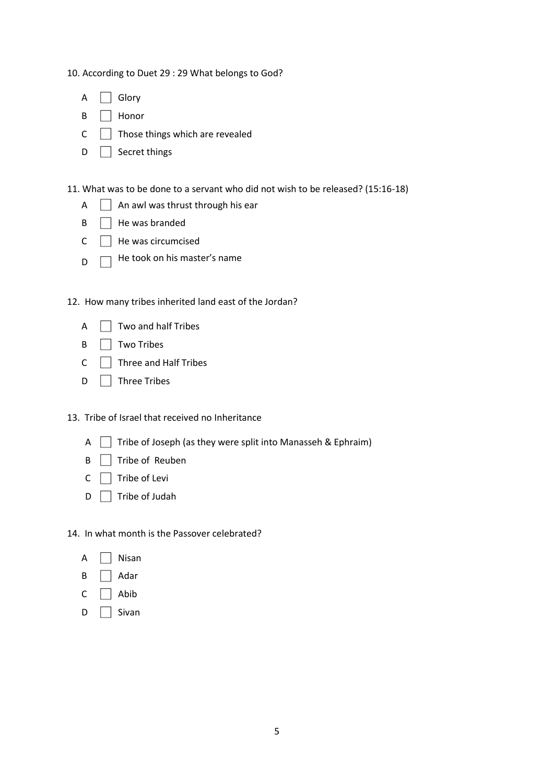10. According to Duet 29 : 29 What belongs to God?

| Δ | Glory |
|---|-------|
|   |       |

- B □ Honor
- $C \quad \Box$  Those things which are revealed
- $D \cap$  Secret things

11. What was to be done to a servant who did not wish to be released? (15:16-18)

- $A \Box$  An awl was thrust through his ear
- $\mathsf{B} \quad \Box$  He was branded
- $C \cap$  He was circumcised
- D He took on his master's name

12. How many tribes inherited land east of the Jordan?

| A |  | $\vert$ Two and half Tribes |
|---|--|-----------------------------|
|---|--|-----------------------------|

- $\mathsf{B}$   $\Box$  Two Tribes
- $C \cap$  Three and Half Tribes
- $D \Box$  Three Tribes

13. Tribe of Israel that received no Inheritance

- A  $\Box$  Tribe of Joseph (as they were split into Manasseh & Ephraim)
- B **Tribe of Reuben**
- $C \cap$  Tribe of Levi
- $D \Box$  Tribe of Judah

14. In what month is the Passover celebrated?

- $A \Box$  Nisan
- $B \Box$  Adar
- $C \cap$  Abib
- D | Sivan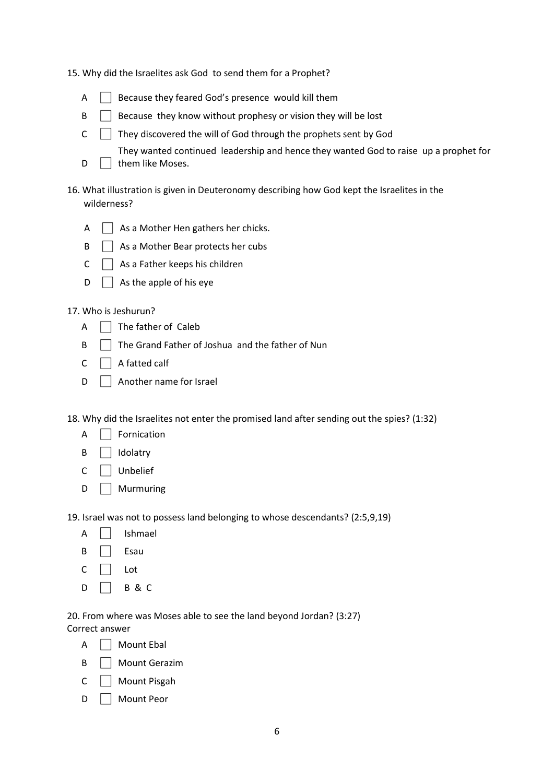|  |  | 15. Why did the Israelites ask God to send them for a Prophet? |  |  |  |
|--|--|----------------------------------------------------------------|--|--|--|
|--|--|----------------------------------------------------------------|--|--|--|

| A | Because they feared God's presence would kill them |  |
|---|----------------------------------------------------|--|
|   |                                                    |  |

- $\mathsf{B}$  Because they know without prophesy or vision they will be lost
- $C \cap$  They discovered the will of God through the prophets sent by God
	- They wanted continued leadership and hence they wanted God to raise up a prophet for
- D them like Moses.
- 16. What illustration is given in Deuteronomy describing how God kept the Israelites in the wilderness?

| A |  | As a Mother Hen gathers her chicks. |  |
|---|--|-------------------------------------|--|
|---|--|-------------------------------------|--|

- $\mathsf{B}$   $\Box$  As a Mother Bear protects her cubs
- $C \cap A$ s a Father keeps his children
- $\Box$  As the apple of his eye

#### 17. Who is Jeshurun?

- $\overline{A}$   $\overline{\phantom{A}}$  The father of Caleb
- $\mathsf{B} \quad \Box$  The Grand Father of Joshua and the father of Nun
- $C \cap A$  fatted calf
- $D \cap$  Another name for Israel
- 18. Why did the Israelites not enter the promised land after sending out the spies? (1:32)
	- $A \cap$  Fornication
	- $\mathsf{B}$   $\Box$  Idolatry
	- C □ Unbelief
	- D | Murmuring
- 19. Israel was not to possess land belonging to whose descendants? (2:5,9,19)
	- $A \Box$  Ishmael
	- B | Esau
	- $C \Box$  Lot
	- $D \Box B \& C$

20. From where was Moses able to see the land beyond Jordan? (3:27) Correct answer

- $A \Box$  Mount Ebal
- B | Mount Gerazim
- C | Mount Pisgah
- D | Mount Peor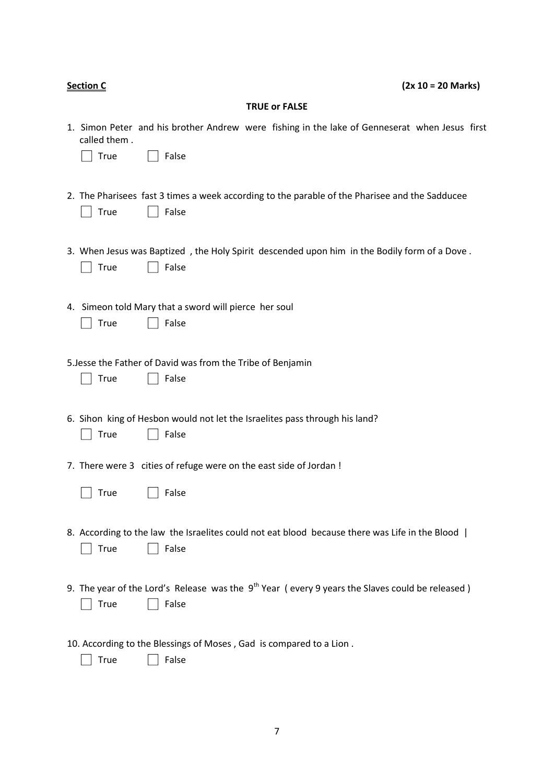| <b>Section C</b> |                      |                                                                                                            | $(2x 10 = 20$ Marks) |  |
|------------------|----------------------|------------------------------------------------------------------------------------------------------------|----------------------|--|
|                  |                      | <b>TRUE or FALSE</b>                                                                                       |                      |  |
|                  | called them.<br>True | 1. Simon Peter and his brother Andrew were fishing in the lake of Genneserat when Jesus first<br>False     |                      |  |
|                  | <b>True</b>          | 2. The Pharisees fast 3 times a week according to the parable of the Pharisee and the Sadducee<br>False    |                      |  |
|                  | True                 | 3. When Jesus was Baptized, the Holy Spirit descended upon him in the Bodily form of a Dove.<br>False      |                      |  |
|                  | <b>True</b>          | 4. Simeon told Mary that a sword will pierce her soul<br>False                                             |                      |  |
|                  | <b>True</b>          | 5. Jesse the Father of David was from the Tribe of Benjamin<br>False                                       |                      |  |
|                  | True                 | 6. Sihon king of Hesbon would not let the Israelites pass through his land?<br>False                       |                      |  |
|                  |                      | 7. There were 3 cities of refuge were on the east side of Jordan !                                         |                      |  |
|                  | $\Box$ True          | $\Box$ False                                                                                               |                      |  |
|                  | True                 | 8. According to the law the Israelites could not eat blood because there was Life in the Blood  <br>False  |                      |  |
|                  | <b>True</b>          | 9. The year of the Lord's Release was the $9th$ Year (every 9 years the Slaves could be released)<br>False |                      |  |
|                  | True                 | 10. According to the Blessings of Moses, Gad is compared to a Lion.<br>False                               |                      |  |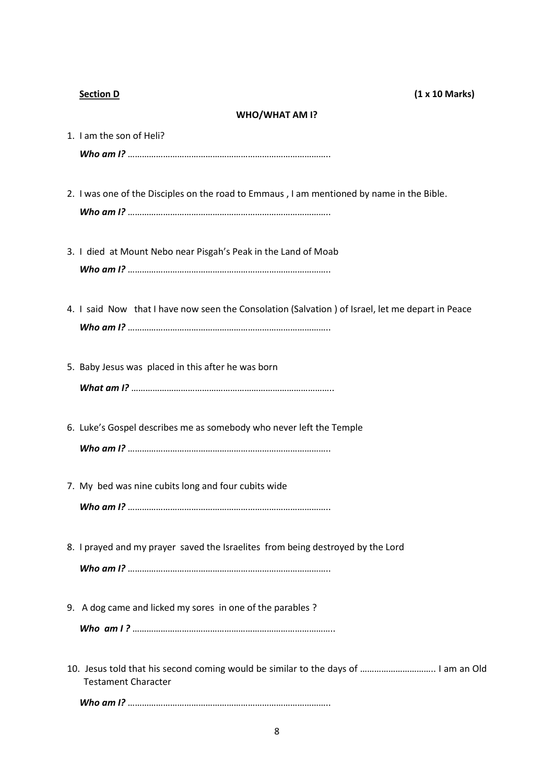#### **WHO/WHAT AM I?**

| <b>WHO/WHAI AIVI I:</b>                                                                          |
|--------------------------------------------------------------------------------------------------|
| 1. I am the son of Heli?                                                                         |
|                                                                                                  |
|                                                                                                  |
| 2. I was one of the Disciples on the road to Emmaus, I am mentioned by name in the Bible.        |
|                                                                                                  |
|                                                                                                  |
| 3. I died at Mount Nebo near Pisgah's Peak in the Land of Moab                                   |
|                                                                                                  |
|                                                                                                  |
| 4. I said Now that I have now seen the Consolation (Salvation) of Israel, let me depart in Peace |
|                                                                                                  |
|                                                                                                  |
| 5. Baby Jesus was placed in this after he was born                                               |
|                                                                                                  |
|                                                                                                  |
| 6. Luke's Gospel describes me as somebody who never left the Temple                              |
|                                                                                                  |

- *Who am I?* …………………………………………………………………………..
- 7. My bed was nine cubits long and four cubits wide

*Who am I?* …………………………………………………………………………..

- 8. I prayed and my prayer saved the Israelites from being destroyed by the Lord *Who am I?* …………………………………………………………………………..
- 9. A dog came and licked my sores in one of the parables ?
	- *Who am I ?* …………………………………………………………………………..
- 10. Jesus told that his second coming would be similar to the days of ………………………….. I am an Old Testament Character

*Who am I?* …………………………………………………………………………..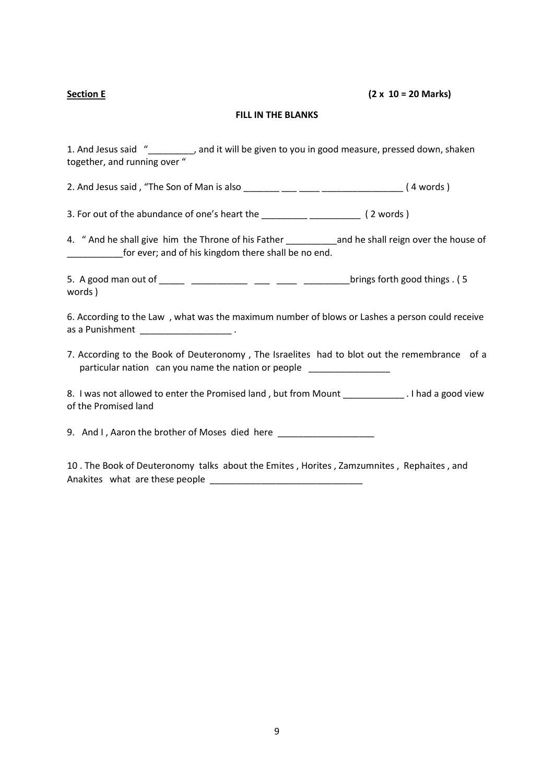### **Section E (2 x 10 = 20 Marks)**

### **FILL IN THE BLANKS**

1. And Jesus said "\_\_\_\_\_\_\_\_\_, and it will be given to you in good measure, pressed down, shaken together, and running over "

2. And Jesus said , "The Son of Man is also \_\_\_\_\_\_\_ \_\_\_ \_\_\_\_ \_\_\_\_\_\_\_\_\_\_\_\_\_\_\_\_ ( 4 words )

3. For out of the abundance of one's heart the \_\_\_\_\_\_\_\_\_\_\_\_\_\_\_\_\_\_\_\_\_\_\_\_\_\_\_ (2 words)

4. " And he shall give him the Throne of his Father \_\_\_\_\_\_\_\_\_\_\_ and he shall reign over the house of \_\_\_\_\_\_\_\_\_\_\_for ever; and of his kingdom there shall be no end.

5. A good man out of \_\_\_\_\_ \_\_\_\_\_\_\_\_\_\_\_ \_\_\_ \_\_\_\_ \_\_\_\_\_\_\_\_\_brings forth good things . ( 5 words )

6. According to the Law , what was the maximum number of blows or Lashes a person could receive as a Punishment \_\_\_\_\_\_\_\_\_\_\_\_\_\_\_\_\_\_\_\_\_\_\_\_\_\_\_.

7. According to the Book of Deuteronomy , The Israelites had to blot out the remembrance of a particular nation can you name the nation or people

8. I was not allowed to enter the Promised land, but from Mount \_\_\_\_\_\_\_\_\_\_\_\_\_. I had a good view of the Promised land

9. And I, Aaron the brother of Moses died here

10 . The Book of Deuteronomy talks about the Emites , Horites , Zamzumnites , Rephaites , and Anakites what are these people